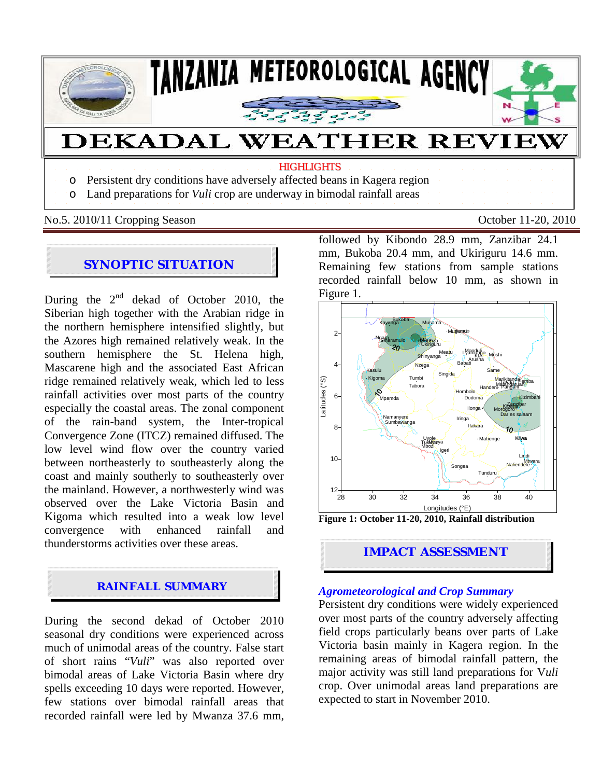

No.5. 2010/11 Cropping Season October 11-20, 2010

# **SYNOPTIC SITUATION**

During the  $2<sup>nd</sup>$  dekad of October 2010, the Siberian high together with the Arabian ridge in the northern hemisphere intensified slightly, but the Azores high remained relatively weak. In the southern hemisphere the St. Helena high, Mascarene high and the associated East African ridge remained relatively weak, which led to less rainfall activities over most parts of the country especially the coastal areas. The zonal component of the rain-band system, the Inter-tropical Convergence Zone (ITCZ) remained diffused. The low level wind flow over the country varied between northeasterly to southeasterly along the coast and mainly southerly to southeasterly over the mainland. However, a northwesterly wind was observed over the Lake Victoria Basin and Kigoma which resulted into a weak low level convergence with enhanced rainfall and thunderstorms activities over these areas.

## **RAINFALL SUMMARY**

During the second dekad of October 2010 seasonal dry conditions were experienced across much of unimodal areas of the country. False start of short rains "*Vuli*" was also reported over bimodal areas of Lake Victoria Basin where dry spells exceeding 10 days were reported. However, few stations over bimodal rainfall areas that recorded rainfall were led by Mwanza 37.6 mm,

followed by Kibondo 28.9 mm, Zanzibar 24.1 mm, Bukoba 20.4 mm, and Ukiriguru 14.6 mm. Remaining few stations from sample stations recorded rainfall below 10 mm, as shown in Figure 1.





#### *Agrometeorological and Crop Summary*

Persistent dry conditions were widely experienced over most parts of the country adversely affecting field crops particularly beans over parts of Lake Victoria basin mainly in Kagera region. In the remaining areas of bimodal rainfall pattern, the major activity was still land preparations for V*uli*  crop. Over unimodal areas land preparations are expected to start in November 2010.